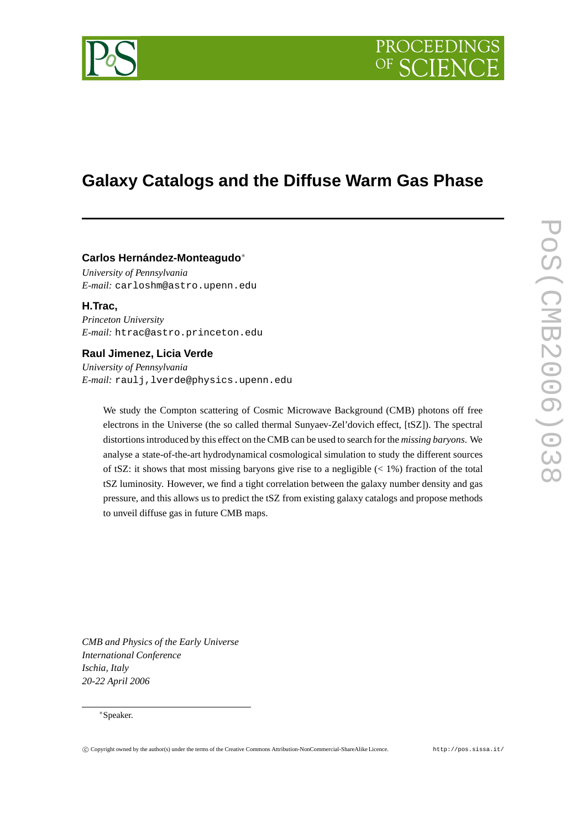

# **Galaxy Catalogs and the Diffuse Warm Gas Phase**

## **Carlos Hernández-Monteagudo**<sup>∗</sup>

*University of Pennsylvania E-mail:* carloshm@astro.upenn.edu

**H.Trac,** *Princeton University E-mail:* htrac@astro.princeton.edu

## **Raul Jimenez, Licia Verde**

*University of Pennsylvania E-mail:* raulj,lverde@physics.upenn.edu

We study the Compton scattering of Cosmic Microwave Background (CMB) photons off free electrons in the Universe (the so called thermal Sunyaev-Zel'dovich effect, [tSZ]). The spectral distortionsintroduced by this effect on the CMB can be used to search for the *missing baryons*. We analyse a state-of-the-art hydrodynamical cosmological simulation to study the different sources of tSZ: it shows that most missing baryons give rise to a negligible  $(< 1\%)$  fraction of the total tSZ luminosity. However, we find a tight correlation between the galaxy number density and gas pressure, and this allows us to predict the tSZ from existing galaxy catalogs and propose methods to unveil diffuse gas in future CMB maps.

*CMB and Physics of the Early Universe International Conference Ischia, Italy 20-22 April 2006*

### <sup>∗</sup>Speaker.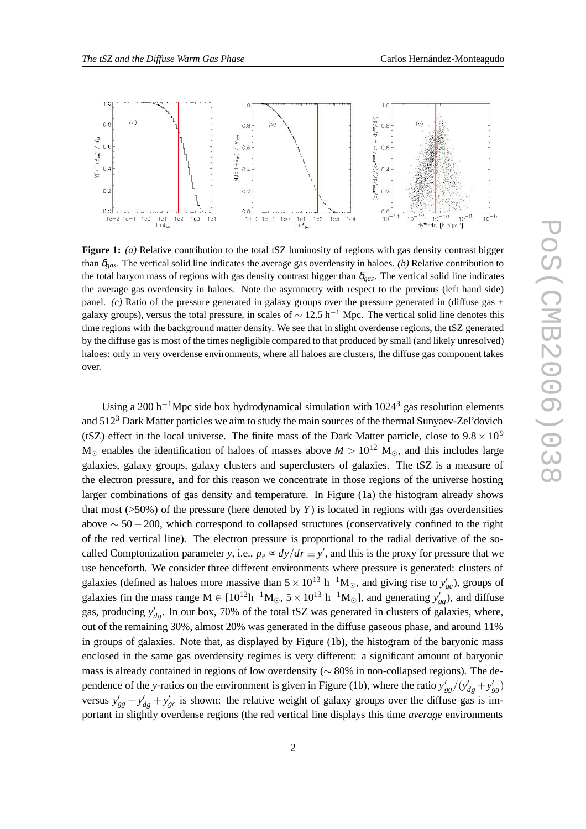

**Figure 1:** *(a)* Relative contribution to the total tSZ luminosity of regions with gas density contrast bigger than <sup>δ</sup>*gas*. The vertical solid line indicates the average gas overdensity in haloes. *(b)* Relative contribution to the total baryon mass of regions with gas density contrast bigger than  $\delta_{gas}$ . The vertical solid line indicates the average gas overdensity in haloes. Note the asymmetry with respect to the previous (left hand side) panel. *(c)* Ratio of the pressure generated in galaxy groups over the pressure generated in (diffuse gas + galaxy groups), versus the total pressure, in scales of  $\sim 12.5$  h<sup>-1</sup> Mpc. The vertical solid line denotes this time regions with the background matter density. We see that in slight overdense regions, the tSZ generated by the diffuse gas is most of the times negligible compared to that produced by small (and likely unresolved) haloes: only in very overdense environments, where all haloes are clusters, the diffuse gas component takes over.

Using a 200 h<sup>-1</sup>Mpc side box hydrodynamical simulation with  $1024<sup>3</sup>$  gas resolution elements and  $512<sup>3</sup>$  Dark Matter particles we aim to study the main sources of the thermal Sunyaev-Zel'dovich (tSZ) effect in the local universe. The finite mass of the Dark Matter particle, close to  $9.8 \times 10^9$  $M_{\odot}$  enables the identification of haloes of masses above  $M > 10^{12}$  M<sub> $\odot$ </sub>, and this includes large galaxies, galaxy groups, galaxy clusters and superclusters of galaxies. The tSZ is a measure of the electron pressure, and for this reason we concentrate in those regions of the universe hosting larger combinations of gas density and temperature. In Figure (1a) the histogram already shows that most  $(50\%)$  of the pressure (here denoted by *Y*) is located in regions with gas overdensities above  $\sim$  50 – 200, which correspond to collapsed structures (conservatively confined to the right of the red vertical line). The electron pressure is proportional to the radial derivative of the socalled Comptonization parameter *y*, i.e.,  $p_e \propto dy/dr \equiv y'$ , and this is the proxy for pressure that we use henceforth. We consider three different environments where pressure is generated: clusters of galaxies (defined as haloes more massive than  $5 \times 10^{13}$  h<sup>-1</sup>M<sub>☉</sub>, and giving rise to  $y'_{gc}$ ), groups of galaxies (in the mass range  $M \in [10^{12}h^{-1}M_{\odot}, 5 \times 10^{13} h^{-1}M_{\odot}]$ , and generating  $y'_{gg}$ ), and diffuse gas, producing  $y'_{dg}$ . In our box, 70% of the total tSZ was generated in clusters of galaxies, where, out of the remaining 30%, almost 20% was generated in the diffuse gaseous phase, and around 11% in groups of galaxies. Note that, as displayed by Figure (1b), the histogram of the baryonic mass enclosed in the same gas overdensity regimes is very different: a significant amount of baryonic mass is already contained in regions of low overdensity (∼ 80% in non-collapsed regions). The dependence of the *y*-ratios on the environment is given in Figure (1b), where the ratio  $y'_{gg}/(y'_{dg} + y'_{gg})$ versus  $y'_{gg} + y'_{dg} + y'_{gc}$  is shown: the relative weight of galaxy groups over the diffuse gas is important in slightly overdense regions (the red vertical line displays this time *average* environments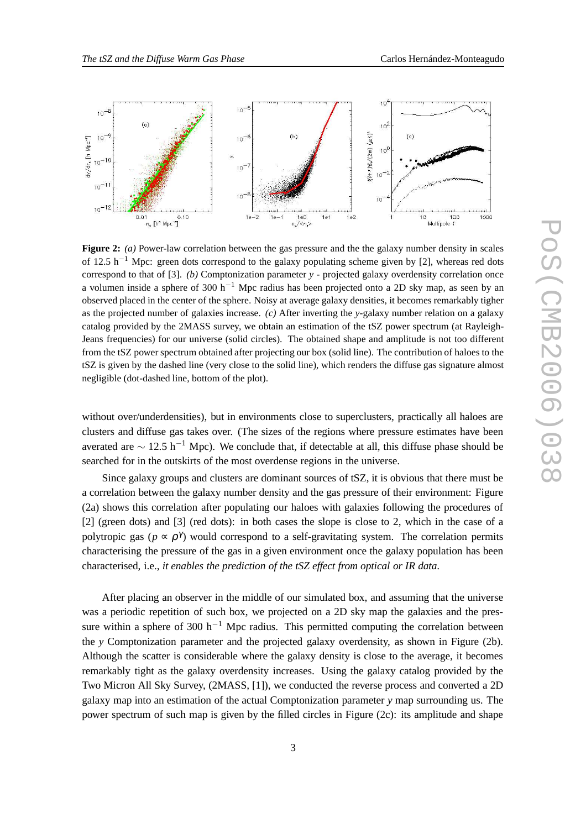

**Figure 2:** *(a)* Power-law correlation between the gas pressure and the the galaxy number density in scales of 12.5 h<sup>-1</sup> Mpc: green dots correspond to the galaxy populating scheme given by [2], whereas red dots correspond to that of [3]. *(b)* Comptonization parameter *y* - projected galaxy overdensity correlation once a volumen inside a sphere of 300 h<sup>-1</sup> Mpc radius has been projected onto a 2D sky map, as seen by an observed placed in the center of the sphere. Noisy at average galaxy densities, it becomes remarkably tigher as the projected number of galaxies increase. *(c)* After inverting the *y*-galaxy number relation on a galaxy catalog provided by the 2MASS survey, we obtain an estimation of the tSZ power spectrum (at Rayleigh-Jeans frequencies) for our universe (solid circles). The obtained shape and amplitude is not too different from the tSZ power spectrum obtained after projecting our box (solid line). The contribution of haloes to the tSZ is given by the dashed line (very close to the solid line), which renders the diffuse gas signature almost negligible (dot-dashed line, bottom of the plot).

without over/underdensities), but in environments close to superclusters, practically all haloes are clusters and diffuse gas takes over. (The sizes of the regions where pressure estimates have been averated are  $\sim 12.5$  h<sup>-1</sup> Mpc). We conclude that, if detectable at all, this diffuse phase should be searched for in the outskirts of the most overdense regions in the universe.

Since galaxy groups and clusters are dominant sources of tSZ, it is obvious that there must be a correlation between the galaxy number density and the gas pressure of their environment: Figure (2a) shows this correlation after populating our haloes with galaxies following the procedures of [2] (green dots) and [3] (red dots): in both cases the slope is close to 2, which in the case of a polytropic gas ( $p \propto \rho^{\gamma}$ ) would correspond to a self-gravitating system. The correlation permits characterising the pressure of the gas in a given environment once the galaxy population has been characterised, i.e., *it enables the prediction of the tSZ effect from optical or IR data*.

After placing an observer in the middle of our simulated box, and assuming that the universe was a periodic repetition of such box, we projected on a 2D sky map the galaxies and the pressure within a sphere of 300 h<sup>-1</sup> Mpc radius. This permitted computing the correlation between the *y* Comptonization parameter and the projected galaxy overdensity, as shown in Figure (2b). Although the scatter is considerable where the galaxy density is close to the average, it becomes remarkably tight as the galaxy overdensity increases. Using the galaxy catalog provided by the Two Micron All Sky Survey, (2MASS, [1]), we conducted the reverse process and converted a 2D galaxy map into an estimation of the actual Comptonization parameter *y* map surrounding us. The power spectrum of such map is given by the filled circles in Figure (2c): its amplitude and shape